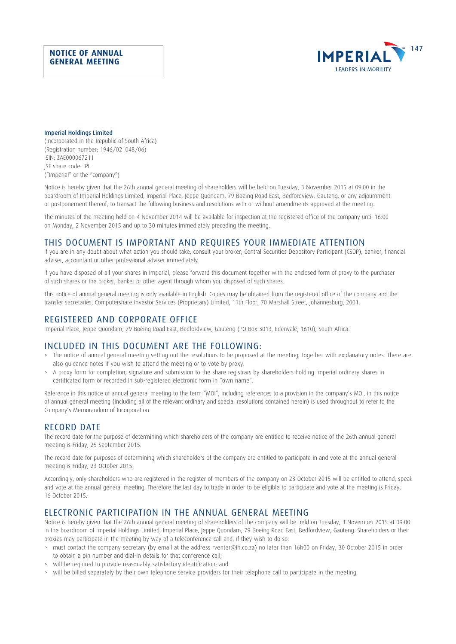### **NOTICE OF ANNUAL GENERAL MEETING**



#### Imperial Holdings Limited

(Incorporated in the Republic of South Africa) (Registration number: 1946/021048/06) ISIN: ZAE000067211 JSE share code: IPL ("Imperial" or the "company")

Notice is hereby given that the 26th annual general meeting of shareholders will be held on Tuesday, 3 November 2015 at 09:00 in the boardroom of Imperial Holdings Limited, Imperial Place, Jeppe Quondam, 79 Boeing Road East, Bedfordview, Gauteng, or any adjournment or postponement thereof, to transact the following business and resolutions with or without amendments approved at the meeting.

The minutes of the meeting held on 4 November 2014 will be available for inspection at the registered office of the company until 16:00 on Monday, 2 November 2015 and up to 30 minutes immediately preceding the meeting.

# THIS DOCUMENT IS IMPORTANT AND REQUIRES YOUR IMMEDIATE ATTENTION

If you are in any doubt about what action you should take, consult your broker, Central Securities Depository Participant (CSDP), banker, financial adviser, accountant or other professional adviser immediately.

If you have disposed of all your shares in Imperial, please forward this document together with the enclosed form of proxy to the purchaser of such shares or the broker, banker or other agent through whom you disposed of such shares.

This notice of annual general meeting is only available in English. Copies may be obtained from the registered office of the company and the transfer secretaries, Computershare Investor Services (Proprietary) Limited, 11th Floor, 70 Marshall Street, Johannesburg, 2001.

# REGISTERED AND CORPORATE OFFICE

Imperial Place, Jeppe Quondam, 79 Boeing Road East, Bedfordview, Gauteng (PO Box 3013, Edenvale, 1610), South Africa.

# INCLUDED IN THIS DOCUMENT ARE THE FOLLOWING:

- > The notice of annual general meeting setting out the resolutions to be proposed at the meeting, together with explanatory notes. There are also guidance notes if you wish to attend the meeting or to vote by proxy.
- > A proxy form for completion, signature and submission to the share registrars by shareholders holding Imperial ordinary shares in certificated form or recorded in sub-registered electronic form in "own name".

Reference in this notice of annual general meeting to the term "MOI", including references to a provision in the company's MOI, in this notice of annual general meeting (including all of the relevant ordinary and special resolutions contained herein) is used throughout to refer to the Company's Memorandum of Incorporation.

# RECORD DATE

The record date for the purpose of determining which shareholders of the company are entitled to receive notice of the 26th annual general meeting is Friday, 25 September 2015.

The record date for purposes of determining which shareholders of the company are entitled to participate in and vote at the annual general meeting is Friday, 23 October 2015.

Accordingly, only shareholders who are registered in the register of members of the company on 23 October 2015 will be entitled to attend, speak and vote at the annual general meeting. Therefore the last day to trade in order to be eligible to participate and vote at the meeting is Friday, 16 October 2015.

### ELECTRONIC PARTICIPATION IN THE ANNUAL GENERAL MEETING

Notice is hereby given that the 26th annual general meeting of shareholders of the company will be held on Tuesday, 3 November 2015 at 09:00 in the boardroom of Imperial Holdings Limited, Imperial Place, Jeppe Quondam, 79 Boeing Road East, Bedfordview, Gauteng. Shareholders or their proxies may participate in the meeting by way of a teleconference call and, if they wish to do so:

- > must contact the company secretary (by email at the address rventer@ih.co.za) no later than 16h00 on Friday, 30 October 2015 in order to obtain a pin number and dial-in details for that conference call;
- > will be required to provide reasonably satisfactory identification; and
- > will be billed separately by their own telephone service providers for their telephone call to participate in the meeting.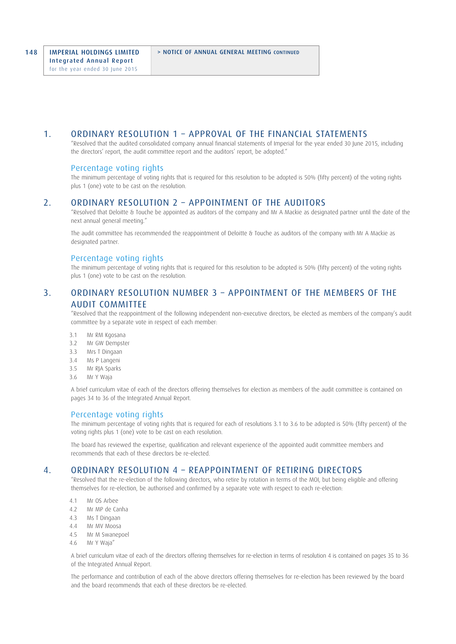## 1. ORDINARY RESOLUTION 1 – APPROVAL OF THE FINANCIAL STATEMENTS

 "Resolved that the audited consolidated company annual financial statements of Imperial for the year ended 30 June 2015, including the directors' report, the audit committee report and the auditors' report, be adopted."

### Percentage voting rights

 The minimum percentage of voting rights that is required for this resolution to be adopted is 50% (fifty percent) of the voting rights plus 1 (one) vote to be cast on the resolution.

### 2. ORDINARY RESOLUTION 2 – APPOINTMENT OF THE AUDITORS

 "Resolved that Deloitte & Touche be appointed as auditors of the company and Mr A Mackie as designated partner until the date of the next annual general meeting."

 The audit committee has recommended the reappointment of Deloitte & Touche as auditors of the company with Mr A Mackie as designated partner.

### Percentage voting rights

 The minimum percentage of voting rights that is required for this resolution to be adopted is 50% (fifty percent) of the voting rights plus 1 (one) vote to be cast on the resolution.

# 3. ORDINARY RESOLUTION NUMBER 3 – APPOINTMENT OF THE MEMBERS OF THE AUDIT COMMITTEE

 "Resolved that the reappointment of the following independent non-executive directors, be elected as members of the company's audit committee by a separate vote in respect of each member:

- 3.1 Mr RM Kgosana
- 3.2 Mr GW Dempster<br>3.3 Mrs T Dingaan
- Mrs T Dingaan
- 3.4 Ms P Langeni
- Mr RJA Sparks
- 3.6 Mr Y Waja

 A brief curriculum vitae of each of the directors offering themselves for election as members of the audit committee is contained on pages 34 to 36 of the Integrated Annual Report.

### Percentage voting rights

 The minimum percentage of voting rights that is required for each of resolutions 3.1 to 3.6 to be adopted is 50% (fifty percent) of the voting rights plus 1 (one) vote to be cast on each resolution.

 The board has reviewed the expertise, qualification and relevant experience of the appointed audit committee members and recommends that each of these directors be re-elected.

# 4. ORDINARY RESOLUTION 4 – REAPPOINTMENT OF RETIRING DIRECTORS

 "Resolved that the re-election of the following directors, who retire by rotation in terms of the MOI, but being eligible and offering themselves for re-election, be authorised and confirmed by a separate vote with respect to each re-election:

- 4.1 Mr OS Arbee
- 4.2 Mr MP de Canha
- 4.3 Ms T Dingaan
- 4.4 Mr MV Moosa
- 4.5 Mr M Swanepoel
- 4.6 Mr Y Waja"

 A brief curriculum vitae of each of the directors offering themselves for re-election in terms of resolution 4 is contained on pages 35 to 36 of the Integrated Annual Report.

 The performance and contribution of each of the above directors offering themselves for re-election has been reviewed by the board and the board recommends that each of these directors be re-elected.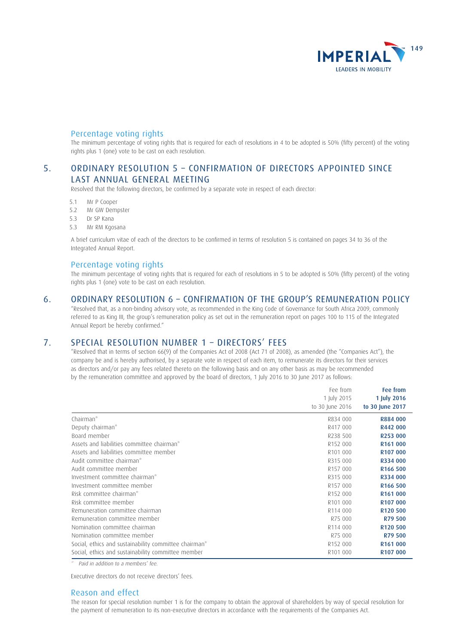

# Percentage voting rights

 The minimum percentage of voting rights that is required for each of resolutions in 4 to be adopted is 50% (fifty percent) of the voting rights plus 1 (one) vote to be cast on each resolution.

# 5. ORDINARY RESOLUTION 5 – CONFIRMATION OF DIRECTORS APPOINTED SINCE LAST ANNUAL GENERAL MEETING

Resolved that the following directors, be confirmed by a separate vote in respect of each director:

- 5.1 Mr P Cooper
- 5.2 Mr GW Dempster
- 5.3 Dr SP Kana
- 5.3 Mr RM Kgosana

 A brief curriculum vitae of each of the directors to be confirmed in terms of resolution 5 is contained on pages 34 to 36 of the Integrated Annual Report.

### Percentage voting rights

 The minimum percentage of voting rights that is required for each of resolutions in 5 to be adopted is 50% (fifty percent) of the voting rights plus 1 (one) vote to be cast on each resolution.

# 6. ORDINARY RESOLUTION 6 – CONFIRMATION OF THE GROUP'S REMUNERATION POLICY

 "Resolved that, as a non-binding advisory vote, as recommended in the King Code of Governance for South Africa 2009, commonly referred to as King III, the group's remuneration policy as set out in the remuneration report on pages 100 to 115 of the Integrated Annual Report be hereby confirmed."

# 7. SPECIAL RESOLUTION NUMBER 1 – DIRECTORS' FEES

 "Resolved that in terms of section 66(9) of the Companies Act of 2008 (Act 71 of 2008), as amended (the "Companies Act"), the company be and is hereby authorised, by a separate vote in respect of each item, to remunerate its directors for their services as directors and/or pay any fees related thereto on the following basis and on any other basis as may be recommended by the remuneration committee and approved by the board of directors, 1 July 2016 to 30 June 2017 as follows:

|                                                       | Fee from<br>1 July 2015<br>to 30 June 2016 | Fee from<br>1 July 2016<br>to 30 June 2017 |
|-------------------------------------------------------|--------------------------------------------|--------------------------------------------|
|                                                       |                                            |                                            |
|                                                       |                                            |                                            |
| Chairman*                                             | R834 000                                   | R884 000                                   |
| Deputy chairman*                                      | R417 000                                   | R442 000                                   |
| Board member                                          | R238 500                                   | R253 000                                   |
| Assets and liabilities committee chairman*            | R <sub>152</sub> 000                       | R <sub>161</sub> 000                       |
| Assets and liabilities committee member               | R <sub>101</sub> 000                       | R <sub>107</sub> 000                       |
| Audit committee chairman*                             | R315 000                                   | R334 000                                   |
| Audit committee member                                | R <sub>157</sub> 000                       | R166 500                                   |
| Investment committee chairman*                        | R315 000                                   | R334 000                                   |
| Investment committee member                           | R <sub>157</sub> 000                       | R <sub>166</sub> 500                       |
| Risk committee chairman*                              | R <sub>152</sub> 000                       | R <sub>161</sub> 000                       |
| Risk committee member                                 | R <sub>101</sub> 000                       | R <sub>107</sub> 000                       |
| Remuneration committee chairman                       | R114 000                                   | R120 500                                   |
| Remuneration committee member                         | R75 000                                    | R79 500                                    |
| Nomination committee chairman                         | R114 000                                   | R <sub>120</sub> 500                       |
| Nomination committee member                           | R75 000                                    | R79 500                                    |
| Social, ethics and sustainability committee chairman* | R <sub>152</sub> 000                       | R <sub>161</sub> 000                       |
| Social, ethics and sustainability committee member    | R <sub>101</sub> 000                       | R <sub>107</sub> 000                       |

\* Paid in addition to a members' fee.

Executive directors do not receive directors' fees.

### Reason and effect

 The reason for special resolution number 1 is for the company to obtain the approval of shareholders by way of special resolution for the payment of remuneration to its non-executive directors in accordance with the requirements of the Companies Act.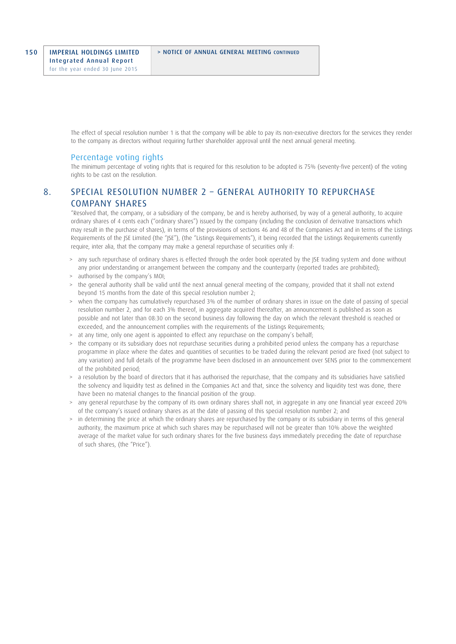The effect of special resolution number 1 is that the company will be able to pay its non-executive directors for the services they render to the company as directors without requiring further shareholder approval until the next annual general meeting.

### Percentage voting rights

 The minimum percentage of voting rights that is required for this resolution to be adopted is 75% (seventy-five percent) of the voting rights to be cast on the resolution.

# 8. SPECIAL RESOLUTION NUMBER 2 – GENERAL AUTHORITY TO REPURCHASE COMPANY SHARES

 "Resolved that, the company, or a subsidiary of the company, be and is hereby authorised, by way of a general authority, to acquire ordinary shares of 4 cents each ("ordinary shares") issued by the company (including the conclusion of derivative transactions which may result in the purchase of shares), in terms of the provisions of sections 46 and 48 of the Companies Act and in terms of the Listings Requirements of the JSE Limited (the "JSE"), (the "Listings Requirements"), it being recorded that the Listings Requirements currently require, inter alia, that the company may make a general repurchase of securities only if:

- > any such repurchase of ordinary shares is effected through the order book operated by the JSE trading system and done without any prior understanding or arrangement between the company and the counterparty (reported trades are prohibited);
- > authorised by the company's MOI;
- > the general authority shall be valid until the next annual general meeting of the company, provided that it shall not extend beyond 15 months from the date of this special resolution number 2;
- > when the company has cumulatively repurchased 3% of the number of ordinary shares in issue on the date of passing of special resolution number 2, and for each 3% thereof, in aggregate acquired thereafter, an announcement is published as soon as possible and not later than 08:30 on the second business day following the day on which the relevant threshold is reached or exceeded, and the announcement complies with the requirements of the Listings Requirements;
- > at any time, only one agent is appointed to effect any repurchase on the company's behalf;
- > the company or its subsidiary does not repurchase securities during a prohibited period unless the company has a repurchase programme in place where the dates and quantities of securities to be traded during the relevant period are fixed (not subject to any variation) and full details of the programme have been disclosed in an announcement over SENS prior to the commencement of the prohibited period;
- > a resolution by the board of directors that it has authorised the repurchase, that the company and its subsidiaries have satisfied the solvency and liquidity test as defined in the Companies Act and that, since the solvency and liquidity test was done, there have been no material changes to the financial position of the group.
- > any general repurchase by the company of its own ordinary shares shall not, in aggregate in any one financial year exceed 20% of the company's issued ordinary shares as at the date of passing of this special resolution number 2; and
- in determining the price at which the ordinary shares are repurchased by the company or its subsidiary in terms of this general authority, the maximum price at which such shares may be repurchased will not be greater than 10% above the weighted average of the market value for such ordinary shares for the five business days immediately preceding the date of repurchase of such shares, (the "Price").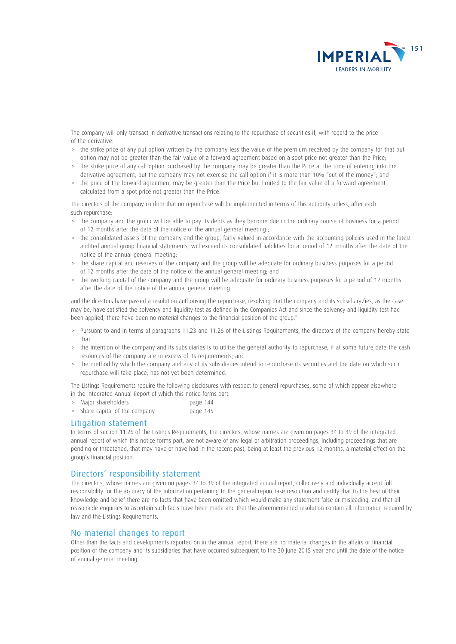

 The company will only transact in derivative transactions relating to the repurchase of securities if, with regard to the price of the derivative:

- > the strike price of any put option written by the company less the value of the premium received by the company for that put option may not be greater than the fair value of a forward agreement based on a spot price not greater than the Price;
- > the strike price of any call option purchased by the company may be greater than the Price at the time of entering into the derivative agreement, but the company may not exercise the call option if it is more than 10% "out of the money"; and
- > the price of the forward agreement may be greater than the Price but limited to the fair value of a forward agreement calculated from a spot price not greater than the Price.

 The directors of the company confirm that no repurchase will be implemented in terms of this authority unless, after each such repurchase:

- > the company and the group will be able to pay its debts as they become due in the ordinary course of business for a period of 12 months after the date of the notice of the annual general meeting ;
- > the consolidated assets of the company and the group, fairly valued in accordance with the accounting policies used in the latest audited annual group financial statements, will exceed its consolidated liabilities for a period of 12 months after the date of the notice of the annual general meeting;
- > the share capital and reserves of the company and the group will be adequate for ordinary business purposes for a period of 12 months after the date of the notice of the annual general meeting; and
- > the working capital of the company and the group will be adequate for ordinary business purposes for a period of 12 months after the date of the notice of the annual general meeting.

 and the directors have passed a resolution authorising the repurchase, resolving that the company and its subsidiary/ies, as the case may be, have satisfied the solvency and liquidity test as defined in the Companies Act and since the solvency and liquidity test had been applied, there have been no material changes to the financial position of the group."

- > Pursuant to and in terms of paragraphs 11.23 and 11.26 of the Listings Requirements, the directors of the company hereby state that:
- > the intention of the company and its subsidiaries is to utilise the general authority to repurchase, if at some future date the cash resources of the company are in excess of its requirements; and
- > the method by which the company and any of its subsidiaries intend to repurchase its securities and the date on which such repurchase will take place, has not yet been determined.

 The Listings Requirements require the following disclosures with respect to general repurchases, some of which appear elsewhere in the Integrated Annual Report of which this notice forms part:

- > Major shareholders page 144
- > Share capital of the company page 145

# Litigation statement

In terms of section 11.26 of the Listings Requirements, the directors, whose names are given on pages 34 to 39 of the integrated annual report of which this notice forms part, are not aware of any legal or arbitration proceedings, including proceedings that are pending or threatened, that may have or have had in the recent past, being at least the previous 12 months, a material effect on the group's financial position.

### Directors' responsibility statement

 The directors, whose names are given on pages 34 to 39 of the integrated annual report, collectively and individually accept full responsibility for the accuracy of the information pertaining to the general repurchase resolution and certify that to the best of their knowledge and belief there are no facts that have been omitted which would make any statement false or misleading, and that all reasonable enquiries to ascertain such facts have been made and that the aforementioned resolution contain all information required by law and the Listings Requirements.

## No material changes to report

Other than the facts and developments reported on in the annual report, there are no material changes in the affairs or financial position of the company and its subsidiaries that have occurred subsequent to the 30 June 2015 year end until the date of the notice of annual general meeting.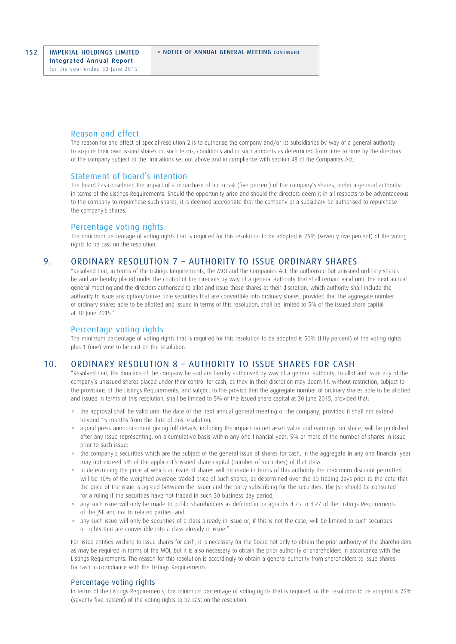### Reason and effect

The reason for and effect of special resolution 2 is to authorise the company and/or its subsidiaries by way of a general authority to acquire their own issued shares on such terms, conditions and in such amounts as determined from time to time by the directors of the company subject to the limitations set out above and in compliance with section 48 of the Companies Act.

#### Statement of board's intention

 The board has considered the impact of a repurchase of up to 5% (five percent) of the company's shares, under a general authority in terms of the Listings Requirements. Should the opportunity arise and should the directors deem it in all respects to be advantageous to the company to repurchase such shares, it is deemed appropriate that the company or a subsidiary be authorised to repurchase the company's shares.

#### Percentage voting rights

 The minimum percentage of voting rights that is required for this resolution to be adopted is 75% (seventy five percent) of the voting rights to be cast on the resolution.

# 9. ORDINARY RESOLUTION 7 – AUTHORITY TO ISSUE ORDINARY SHARES

 "Resolved that, in terms of the Listings Requirements, the MOI and the Companies Act, the authorised but unissued ordinary shares be and are hereby placed under the control of the directors by way of a general authority that shall remain valid until the next annual general meeting and the directors authorised to allot and issue those shares at their discretion, which authority shall include the authority to issue any option/convertible securities that are convertible into ordinary shares, provided that the aggregate number of ordinary shares able to be allotted and issued in terms of this resolution, shall be limited to 5% of the issued share capital at 30 June 2015."

# Percentage voting rights

 The minimum percentage of voting rights that is required for this resolution to be adopted is 50% (fifty percent) of the voting rights plus 1 (one) vote to be cast on the resolution.

# 10. ORDINARY RESOLUTION 8 – AUTHORITY TO ISSUE SHARES FOR CASH

 "Resolved that, the directors of the company be and are hereby authorised by way of a general authority, to allot and issue any of the company's unissued shares placed under their control for cash, as they in their discretion may deem fit, without restriction, subject to the provisions of the Listings Requirements, and subject to the proviso that the aggregate number of ordinary shares able to be allotted and issued in terms of this resolution, shall be limited to 5% of the issued share capital at 30 June 2015, provided that:

- > the approval shall be valid until the date of the next annual general meeting of the company, provided it shall not extend beyond 15 months from the date of this resolution;
- > a paid press announcement giving full details, including the impact on net asset value and earnings per share, will be published after any issue representing, on a cumulative basis within any one financial year, 5% or more of the number of shares in issue prior to such issue;
- > the company's securities which are the subject of the general issue of shares for cash, in the aggregate in any one financial year may not exceed 5% of the applicant's issued share capital (number of securities) of that class.
- > in determining the price at which an issue of shares will be made in terms of this authority the maximum discount permitted will be 10% of the weighted average traded price of such shares, as determined over the 30 trading days prior to the date that the price of the issue is agreed between the issuer and the party subscribing for the securities. The JSE should be consulted for a ruling if the securities have not traded in such 30 business day period;
- > any such issue will only be made to public shareholders as defined in paragraphs 4.25 to 4.27 of the Listings Requirements of the JSE and not to related parties; and
- > any such issue will only be securities of a class already in issue or, if this is not the case, will be limited to such securities or rights that are convertible into a class already in issue."

 For listed entities wishing to issue shares for cash, it is necessary for the board not only to obtain the prior authority of the shareholders as may be required in terms of the MOI, but it is also necessary to obtain the prior authority of shareholders in accordance with the Listings Requirements. The reason for this resolution is accordingly to obtain a general authority from shareholders to issue shares for cash in compliance with the Listings Requirements.

### Percentage voting rights

 In terms of the Listings Requirements, the minimum percentage of voting rights that is required for this resolution to be adopted is 75% (seventy five percent) of the voting rights to be cast on the resolution.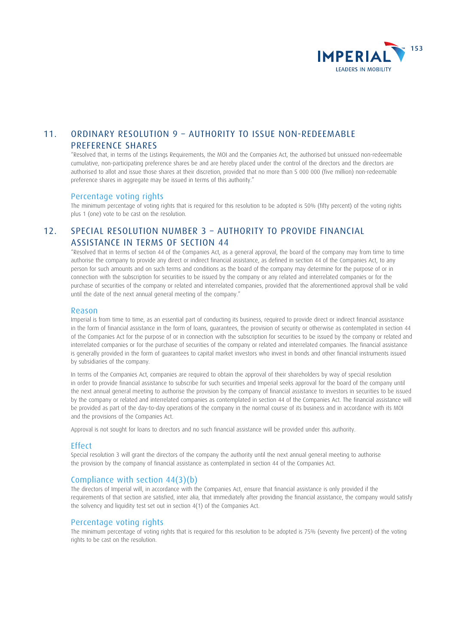

# 11. ORDINARY RESOLUTION 9 – AUTHORITY TO ISSUE NON-REDEEMABLE PREFERENCE SHARES

 "Resolved that, in terms of the Listings Requirements, the MOI and the Companies Act, the authorised but unissued non-redeemable cumulative, non-participating preference shares be and are hereby placed under the control of the directors and the directors are authorised to allot and issue those shares at their discretion, provided that no more than 5 000 000 (five million) non-redeemable preference shares in aggregate may be issued in terms of this authority."

### Percentage voting rights

 The minimum percentage of voting rights that is required for this resolution to be adopted is 50% (fifty percent) of the voting rights plus 1 (one) vote to be cast on the resolution.

# 12. SPECIAL RESOLUTION NUMBER 3 – AUTHORITY TO PROVIDE FINANCIAL ASSISTANCE IN TERMS OF SECTION 44

"Resolved that in terms of section 44 of the Companies Act, as a general approval, the board of the company may from time to time authorise the company to provide any direct or indirect financial assistance, as defined in section 44 of the Companies Act, to any person for such amounts and on such terms and conditions as the board of the company may determine for the purpose of or in connection with the subscription for securities to be issued by the company or any related and interrelated companies or for the purchase of securities of the company or related and interrelated companies, provided that the aforementioned approval shall be valid until the date of the next annual general meeting of the company."

### Reason

 Imperial is from time to time, as an essential part of conducting its business, required to provide direct or indirect financial assistance in the form of financial assistance in the form of loans, guarantees, the provision of security or otherwise as contemplated in section 44 of the Companies Act for the purpose of or in connection with the subscription for securities to be issued by the company or related and interrelated companies or for the purchase of securities of the company or related and interrelated companies. The financial assistance is generally provided in the form of guarantees to capital market investors who invest in bonds and other financial instruments issued by subsidiaries of the company.

 In terms of the Companies Act, companies are required to obtain the approval of their shareholders by way of special resolution in order to provide financial assistance to subscribe for such securities and Imperial seeks approval for the board of the company until the next annual general meeting to authorise the provision by the company of financial assistance to investors in securities to be issued by the company or related and interrelated companies as contemplated in section 44 of the Companies Act. The financial assistance will be provided as part of the day-to-day operations of the company in the normal course of its business and in accordance with its MOI and the provisions of the Companies Act.

Approval is not sought for loans to directors and no such financial assistance will be provided under this authority.

# Effect

 Special resolution 3 will grant the directors of the company the authority until the next annual general meeting to authorise the provision by the company of financial assistance as contemplated in section 44 of the Companies Act.

# Compliance with section 44(3)(b)

 The directors of Imperial will, in accordance with the Companies Act, ensure that financial assistance is only provided if the requirements of that section are satisfied, inter alia, that immediately after providing the financial assistance, the company would satisfy the solvency and liquidity test set out in section 4(1) of the Companies Act.

# Percentage voting rights

 The minimum percentage of voting rights that is required for this resolution to be adopted is 75% (seventy five percent) of the voting rights to be cast on the resolution.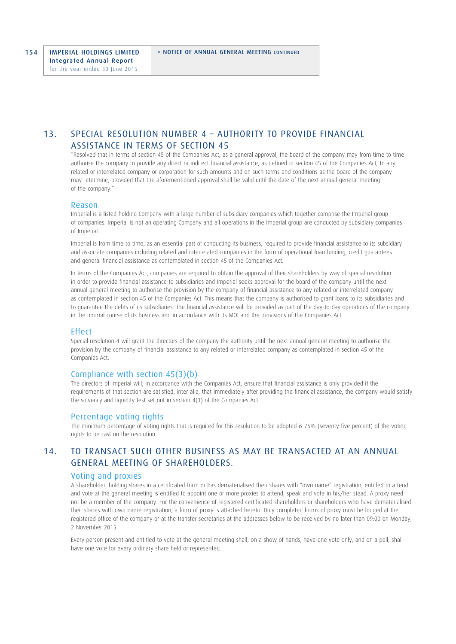# 13. SPECIAL RESOLUTION NUMBER 4 – AUTHORITY TO PROVIDE FINANCIAL ASSISTANCE IN TERMS OF SECTION 45

"Resolved that in terms of section 45 of the Companies Act, as a general approval, the board of the company may from time to time authorise the company to provide any direct or indirect financial assistance, as defined in section 45 of the Companies Act, to any related or interrelated company or corporation for such amounts and on such terms and conditions as the board of the company may etermine, provided that the aforementioned approval shall be valid until the date of the next annual general meeting of the company."

#### Reason

 Imperial is a listed holding Company with a large number of subsidiary companies which together comprise the Imperial group of companies. Imperial is not an operating Company and all operations in the Imperial group are conducted by subsidiary companies of Imperial.

 Imperial is from time to time, as an essential part of conducting its business, required to provide financial assistance to its subsidiary and associate companies including related and interrelated companies in the form of operational loan funding, credit guarantees and general financial assistance as contemplated in section 45 of the Companies Act.

 In terms of the Companies Act, companies are required to obtain the approval of their shareholders by way of special resolution in order to provide financial assistance to subsidiaries and Imperial seeks approval for the board of the company until the next annual general meeting to authorise the provision by the company of financial assistance to any related or interrelated company as contemplated in section 45 of the Companies Act. This means that the company is authorised to grant loans to its subsidiaries and to guarantee the debts of its subsidiaries. The financial assistance will be provided as part of the day-to-day operations of the company in the normal course of its business and in accordance with its MOI and the provisions of the Companies Act.

### Effect

 Special resolution 4 will grant the directors of the company the authority until the next annual general meeting to authorise the provision by the company of financial assistance to any related or interrelated company as contemplated in section 45 of the Companies Act.

### Compliance with section 45(3)(b)

 The directors of Imperial will, in accordance with the Companies Act, ensure that financial assistance is only provided if the requirements of that section are satisfied, inter alia, that immediately after providing the financial assistance, the company would satisfy the solvency and liquidity test set out in section 4(1) of the Companies Act.

### Percentage voting rights

 The minimum percentage of voting rights that is required for this resolution to be adopted is 75% (seventy five percent) of the voting rights to be cast on the resolution.

# 14. TO TRANSACT SUCH OTHER BUSINESS AS MAY BE TRANSACTED AT AN ANNUAL GENERAL MEETING OF SHAREHOLDERS.

#### Voting and proxies

A shareholder, holding shares in a certificated form or has dematerialised their shares with "own name" registration, entitled to attend and vote at the general meeting is entitled to appoint one or more proxies to attend, speak and vote in his/her stead. A proxy need not be a member of the company. For the convenience of registered certificated shareholders or shareholders who have dematerialised their shares with own name registration, a form of proxy is attached hereto. Duly completed forms of proxy must be lodged at the registered office of the company or at the transfer secretaries at the addresses below to be received by no later than 09:00 on Monday, 2 November 2015.

 Every person present and entitled to vote at the general meeting shall, on a show of hands, have one vote only, and on a poll, shall have one vote for every ordinary share held or represented.